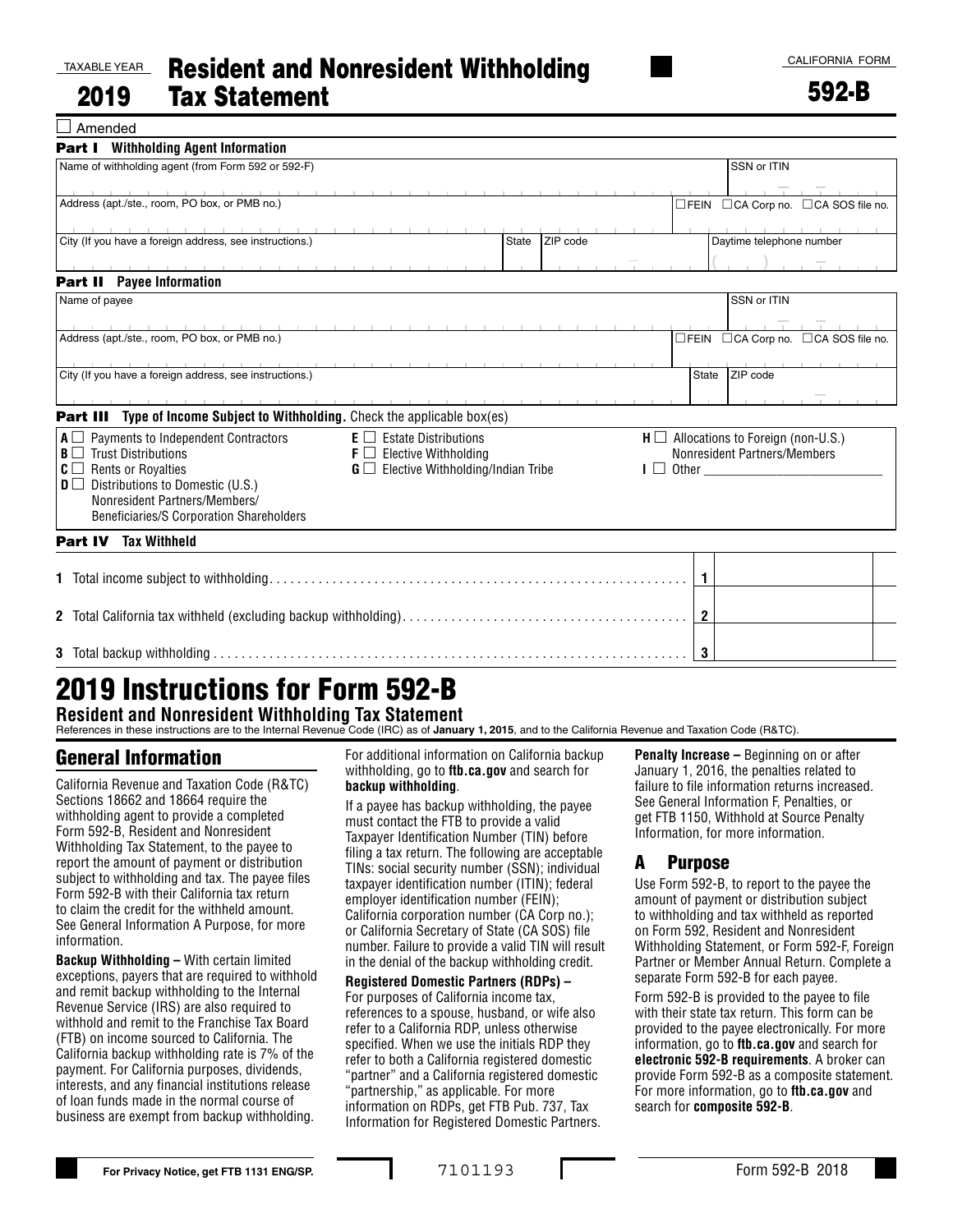#### TAXABLE YEAR

 $\Box$  Amended

#### 2019 Resident and Nonresident Withholding Tax Statement

592-B

| <b>Part I</b> Withholding Agent Information                                                                                                |                                               |          |                |                                            |  |  |
|--------------------------------------------------------------------------------------------------------------------------------------------|-----------------------------------------------|----------|----------------|--------------------------------------------|--|--|
| Name of withholding agent (from Form 592 or 592-F)                                                                                         |                                               |          |                | SSN or ITIN                                |  |  |
| the contract of the con-                                                                                                                   |                                               |          |                |                                            |  |  |
| Address (apt./ste., room, PO box, or PMB no.)                                                                                              |                                               |          |                | □FEIN □ CA Corp no. □ CA SOS file no.      |  |  |
|                                                                                                                                            |                                               |          |                |                                            |  |  |
| City (If you have a foreign address, see instructions.)                                                                                    | State                                         | ZIP code |                | Daytime telephone number                   |  |  |
|                                                                                                                                            |                                               |          |                |                                            |  |  |
| <b>Part II</b> Payee Information                                                                                                           |                                               |          |                |                                            |  |  |
| Name of payee                                                                                                                              |                                               |          |                | SSN or ITIN                                |  |  |
| <u> The Common School and Common School and Common School and Common School and Common School and Common School and</u>                    |                                               |          |                |                                            |  |  |
| Address (apt./ste., room, PO box, or PMB no.)                                                                                              |                                               |          |                | □FEIN □CA Corp no. □CA SOS file no.        |  |  |
|                                                                                                                                            |                                               |          |                |                                            |  |  |
| the contract of the contract of the contract of the contract of the contract of<br>City (If you have a foreign address, see instructions.) |                                               |          | State          | ZIP code                                   |  |  |
|                                                                                                                                            |                                               |          |                |                                            |  |  |
|                                                                                                                                            |                                               |          |                |                                            |  |  |
| <b>Part III</b> Type of Income Subject to Withholding. Check the applicable box(es)                                                        |                                               |          |                |                                            |  |  |
| $A \Box$ Payments to Independent Contractors                                                                                               | $E \Box$ Estate Distributions                 |          |                | $H \Box$ Allocations to Foreign (non-U.S.) |  |  |
| $B \Box$ Trust Distributions                                                                                                               | $\mathsf{F} \square$ Elective Withholding     |          |                | Nonresident Partners/Members               |  |  |
| $ C \square$ Rents or Royalties                                                                                                            | $G \square$ Elective Withholding/Indian Tribe |          |                | $\blacksquare$ Other                       |  |  |
| $D \Box$ Distributions to Domestic (U.S.)                                                                                                  |                                               |          |                |                                            |  |  |
| Nonresident Partners/Members/                                                                                                              |                                               |          |                |                                            |  |  |
| Beneficiaries/S Corporation Shareholders                                                                                                   |                                               |          |                |                                            |  |  |
|                                                                                                                                            |                                               |          |                |                                            |  |  |
| <b>Tax Withheld</b><br>Part IV                                                                                                             |                                               |          |                |                                            |  |  |
|                                                                                                                                            |                                               |          |                |                                            |  |  |
|                                                                                                                                            |                                               |          | $\mathbf{1}$   |                                            |  |  |
|                                                                                                                                            |                                               |          |                |                                            |  |  |
|                                                                                                                                            |                                               |          |                |                                            |  |  |
|                                                                                                                                            |                                               |          | $\overline{2}$ |                                            |  |  |
|                                                                                                                                            |                                               |          |                |                                            |  |  |
|                                                                                                                                            |                                               |          | 3              |                                            |  |  |

# 2019 Instructions for Form 592-B

**Resident and Nonresident Withholding Tax Statement**

References in these instructions are to the Internal Revenue Code (IRC) as of **January 1, 2015**, and to the California Revenue and Taxation Code (R&TC).

# General Information

California Revenue and Taxation Code (R&TC) Sections 18662 and 18664 require the withholding agent to provide a completed Form 592-B, Resident and Nonresident Withholding Tax Statement, to the payee to report the amount of payment or distribution subject to withholding and tax. The payee files Form 592-B with their California tax return to claim the credit for the withheld amount. See General Information A Purpose, for more information.

**Backup Withholding –** With certain limited exceptions, payers that are required to withhold and remit backup withholding to the Internal Revenue Service (IRS) are also required to withhold and remit to the Franchise Tax Board (FTB) on income sourced to California. The California backup withholding rate is 7% of the payment. For California purposes, dividends, interests, and any financial institutions release of loan funds made in the normal course of business are exempt from backup withholding.

For additional information on California backup withholding, go to **ftb.ca.gov** and search for **backup withholding**.

If a payee has backup withholding, the payee must contact the FTB to provide a valid Taxpayer Identification Number (TIN) before filing a tax return. The following are acceptable TINs: social security number (SSN); individual taxpayer identification number (ITIN); federal employer identification number (FEIN); California corporation number (CA Corp no.); or California Secretary of State (CA SOS) file number. Failure to provide a valid TIN will result in the denial of the backup withholding credit.

**Registered Domestic Partners (RDPs) –** For purposes of California income tax, references to a spouse, husband, or wife also refer to a California RDP, unless otherwise specified. When we use the initials RDP they refer to both a California registered domestic "partner" and a California registered domestic "partnership," as applicable. For more information on RDPs, get FTB Pub. 737, Tax Information for Registered Domestic Partners. **Penalty Increase –** Beginning on or after January 1, 2016, the penalties related to failure to file information returns increased. See General Information F, Penalties, or get FTB 1150, Withhold at Source Penalty Information, for more information.

## A Purpose

Use Form 592-B, to report to the payee the amount of payment or distribution subject to withholding and tax withheld as reported on Form 592, Resident and Nonresident Withholding Statement, or Form 592-F, Foreign Partner or Member Annual Return. Complete a separate Form 592-B for each payee.

Form 592-B is provided to the payee to file with their state tax return. This form can be provided to the payee electronically. For more information, go to **ftb.ca.gov** and search for **electronic 592-B requirements**. A broker can provide Form 592-B as a composite statement. For more information, go to **ftb.ca.gov** and search for **composite 592-B**.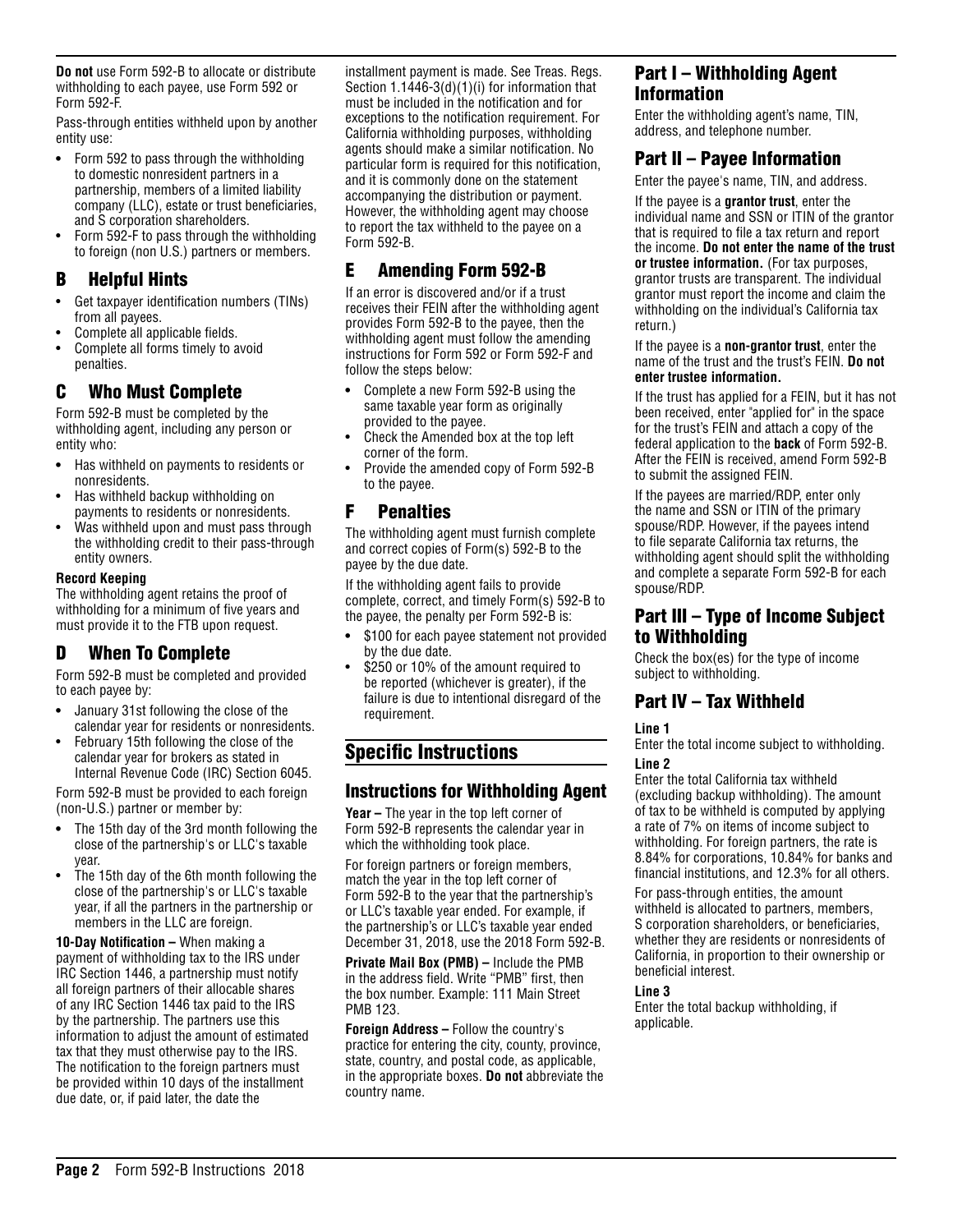**Do not** use Form 592-B to allocate or distribute withholding to each payee, use Form 592 or Form 592-F.

Pass-through entities withheld upon by another entity use:

- **•** Form 592 to pass through the withholding to domestic nonresident partners in a partnership, members of a limited liability company (LLC), estate or trust beneficiaries, and S corporation shareholders.
- Form 592-F to pass through the withholding to foreign (non U.S.) partners or members.

## B Helpful Hints

- Get taxpayer identification numbers (TINs) from all payees.
- Complete all applicable fields.
- Complete all forms timely to avoid penalties.

# C Who Must Complete

Form 592-B must be completed by the withholding agent, including any person or entity who:

- **•** Has withheld on payments to residents or nonresidents.
- Has withheld backup withholding on payments to residents or nonresidents.
- Was withheld upon and must pass through the withholding credit to their pass-through entity owners.

### **Record Keeping**

The withholding agent retains the proof of withholding for a minimum of five years and must provide it to the FTB upon request.

# D When To Complete

Form 592-B must be completed and provided to each payee by:

- **•** January 31st following the close of the calendar year for residents or nonresidents.
- February 15th following the close of the calendar year for brokers as stated in Internal Revenue Code (IRC) Section 6045.

Form 592-B must be provided to each foreign (non-U.S.) partner or member by:

- **•** The 15th day of the 3rd month following the close of the partnership's or LLC's taxable year.
- The 15th day of the 6th month following the close of the partnership's or LLC's taxable year, if all the partners in the partnership or members in the LLC are foreign.

**10-Day Notification –** When making a payment of withholding tax to the IRS under IRC Section 1446, a partnership must notify all foreign partners of their allocable shares of any IRC Section 1446 tax paid to the IRS by the partnership. The partners use this information to adjust the amount of estimated tax that they must otherwise pay to the IRS. The notification to the foreign partners must be provided within 10 days of the installment due date, or, if paid later, the date the

installment payment is made. See Treas. Regs. Section 1.1446-3(d)(1)(i) for information that must be included in the notification and for exceptions to the notification requirement. For California withholding purposes, withholding agents should make a similar notification. No particular form is required for this notification, and it is commonly done on the statement accompanying the distribution or payment. However, the withholding agent may choose to report the tax withheld to the payee on a Form 592-B.

# E Amending Form 592-B

If an error is discovered and/or if a trust receives their FEIN after the withholding agent provides Form 592-B to the payee, then the withholding agent must follow the amending instructions for Form 592 or Form 592-F and follow the steps below:

- **•** Complete a new Form 592-B using the same taxable year form as originally provided to the payee.
- Check the Amended box at the top left corner of the form.
- Provide the amended copy of Form 592-B to the payee.

## F Penalties

The withholding agent must furnish complete and correct copies of Form(s) 592-B to the payee by the due date.

If the withholding agent fails to provide complete, correct, and timely Form(s) 592-B to the payee, the penalty per Form  $592 - B$  is:

- **•** \$100 for each payee statement not provided by the due date.
- \$250 or 10% of the amount required to be reported (whichever is greater), if the failure is due to intentional disregard of the requirement.

# Specific Instructions

## Instructions for Withholding Agent

**Year –** The year in the top left corner of Form 592-B represents the calendar year in which the withholding took place.

For foreign partners or foreign members, match the year in the top left corner of Form 592-B to the year that the partnership's or LLC's taxable year ended. For example, if the partnership's or LLC's taxable year ended December 31, 2018, use the 2018 Form 592-B.

**Private Mail Box (PMB) –** Include the PMB in the address field. Write "PMB" first, then the box number. Example: 111 Main Street PMB 123.

**Foreign Address –** Follow the country's practice for entering the city, county, province, state, country, and postal code, as applicable, in the appropriate boxes. **Do not** abbreviate the country name.

# Part I – Withholding Agent Information

Enter the withholding agent's name, TIN, address, and telephone number.

## Part II – Payee Information

Enter the payee's name, TIN, and address.

If the payee is a **grantor trust**, enter the individual name and SSN or ITIN of the grantor that is required to file a tax return and report the income. **Do not enter the name of the trust or trustee information.** (For tax purposes, grantor trusts are transparent. The individual grantor must report the income and claim the withholding on the individual's California tax return.)

#### If the payee is a **non-grantor trust**, enter the name of the trust and the trust's FEIN. **Do not enter trustee information.**

If the trust has applied for a FEIN, but it has not been received, enter "applied for" in the space for the trust's FEIN and attach a copy of the federal application to the **back** of Form 592-B. After the FEIN is received, amend Form 592-B to submit the assigned FEIN.

If the payees are married/RDP, enter only the name and SSN or ITIN of the primary spouse/RDP. However, if the payees intend to file separate California tax returns, the withholding agent should split the withholding and complete a separate Form 592-B for each spouse/RDP.

## Part III – Type of Income Subject to Withholding

Check the box(es) for the type of income subject to withholding.

# Part IV – Tax Withheld

### **Line 1**

Enter the total income subject to withholding. **Line 2**

Enter the total California tax withheld (excluding backup withholding). The amount of tax to be withheld is computed by applying a rate of 7% on items of income subject to withholding. For foreign partners, the rate is 8.84% for corporations, 10.84% for banks and financial institutions, and 12.3% for all others.

For pass-through entities, the amount withheld is allocated to partners, members, S corporation shareholders, or beneficiaries, whether they are residents or nonresidents of California, in proportion to their ownership or beneficial interest.

### **Line 3**

Enter the total backup withholding, if applicable.